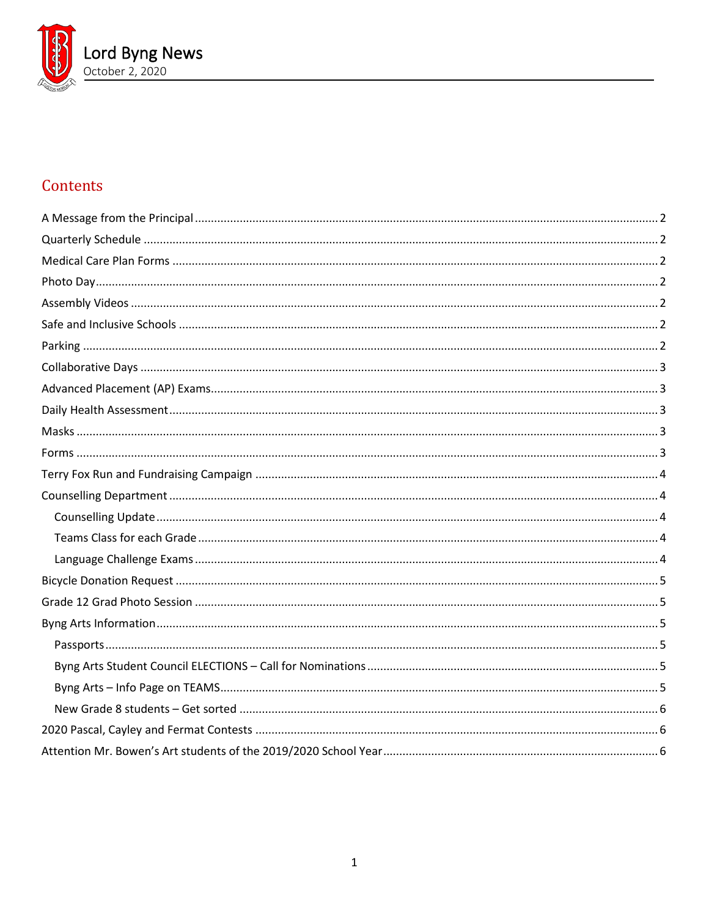

# Contents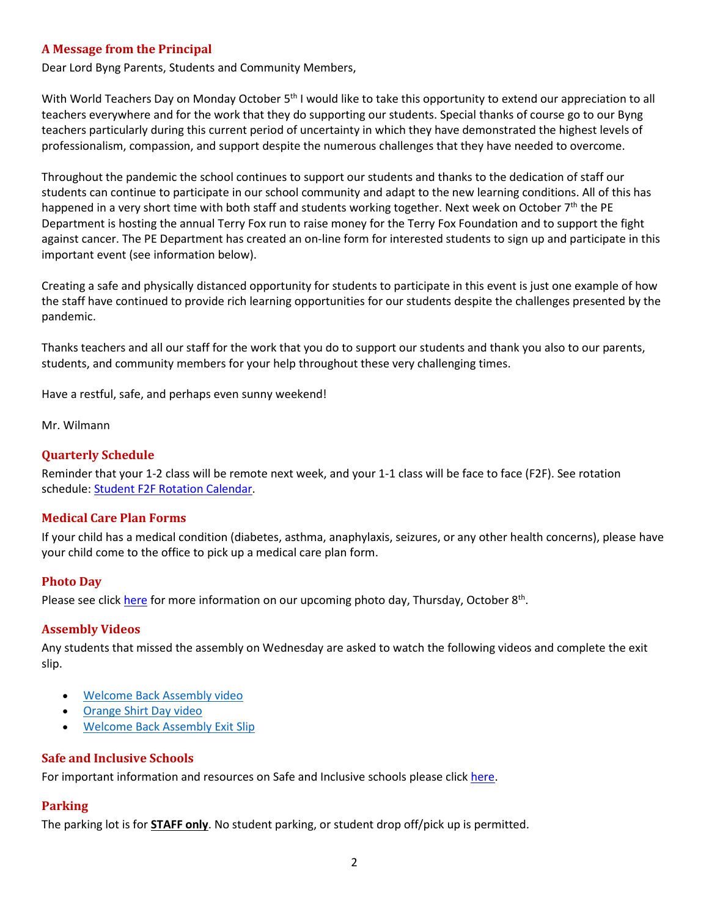# <span id="page-1-0"></span>**A Message from the Principal**

Dear Lord Byng Parents, Students and Community Members,

With World Teachers Day on Monday October 5<sup>th</sup> I would like to take this opportunity to extend our appreciation to all teachers everywhere and for the work that they do supporting our students. Special thanks of course go to our Byng teachers particularly during this current period of uncertainty in which they have demonstrated the highest levels of professionalism, compassion, and support despite the numerous challenges that they have needed to overcome.

Throughout the pandemic the school continues to support our students and thanks to the dedication of staff our students can continue to participate in our school community and adapt to the new learning conditions. All of this has happened in a very short time with both staff and students working together. Next week on October 7<sup>th</sup> the PE Department is hosting the annual Terry Fox run to raise money for the Terry Fox Foundation and to support the fight against cancer. The PE Department has created an on-line form for interested students to sign up and participate in this important event (see information below).

Creating a safe and physically distanced opportunity for students to participate in this event is just one example of how the staff have continued to provide rich learning opportunities for our students despite the challenges presented by the pandemic.

Thanks teachers and all our staff for the work that you do to support our students and thank you also to our parents, students, and community members for your help throughout these very challenging times.

Have a restful, safe, and perhaps even sunny weekend!

<span id="page-1-1"></span>Mr. Wilmann

## **Quarterly Schedule**

Reminder that your 1-2 class will be remote next week, and your 1-1 class will be face to face (F2F). See rotation schedule: [Student F2F Rotation Calendar.](https://www.vsb.bc.ca/repository/SBAttachments/8e11130a-23bc-4157-9294-1c252018cc4d_STUDENTF2FandRemoteBlockCalendar2020-2021.pdf)

## <span id="page-1-2"></span>**Medical Care Plan Forms**

If your child has a medical condition (diabetes, asthma, anaphylaxis, seizures, or any other health concerns), please have your child come to the office to pick up a medical care plan form.

#### <span id="page-1-3"></span>**Photo Day**

<span id="page-1-4"></span>Please see click [here](https://www.vsb.bc.ca/schools/lord-byng/About-Us/Publications/Documents/Photo%20Day%20Memo%20to%20families%20Oct%202020.pdf) for more information on our upcoming photo day, Thursday, October 8<sup>th</sup>.

#### **Assembly Videos**

Any students that missed the assembly on Wednesday are asked to watch the following videos and complete the exit slip.

- [Welcome Back Assembly video](https://web.microsoftstream.com/video/d83003d1-ad5c-4354-bf9e-cac0bf6effa6)
- [Orange Shirt Day video](https://web.microsoftstream.com/video/ea806670-66ec-4f0e-ac05-2815898a1fe4)
- [Welcome Back Assembly Exit Slip](https://forms.office.com/Pages/ResponsePage.aspx?id=WC6KCzB7CEq6t9dVWeDjpcU6_SJBxJFAvnYu4EP3zdBUOEVER1RCTVBQVFkyN1hXTElFOUtFVExNUC4u)

## <span id="page-1-5"></span>**Safe and Inclusive Schools**

<span id="page-1-6"></span>For important information and resources on Safe and Inclusive schools please click [here.](https://www.vsb.bc.ca/Student_Support/Safe_Caring/Pages/default.aspx)

# **Parking**

The parking lot is for **STAFF only**. No student parking, or student drop off/pick up is permitted.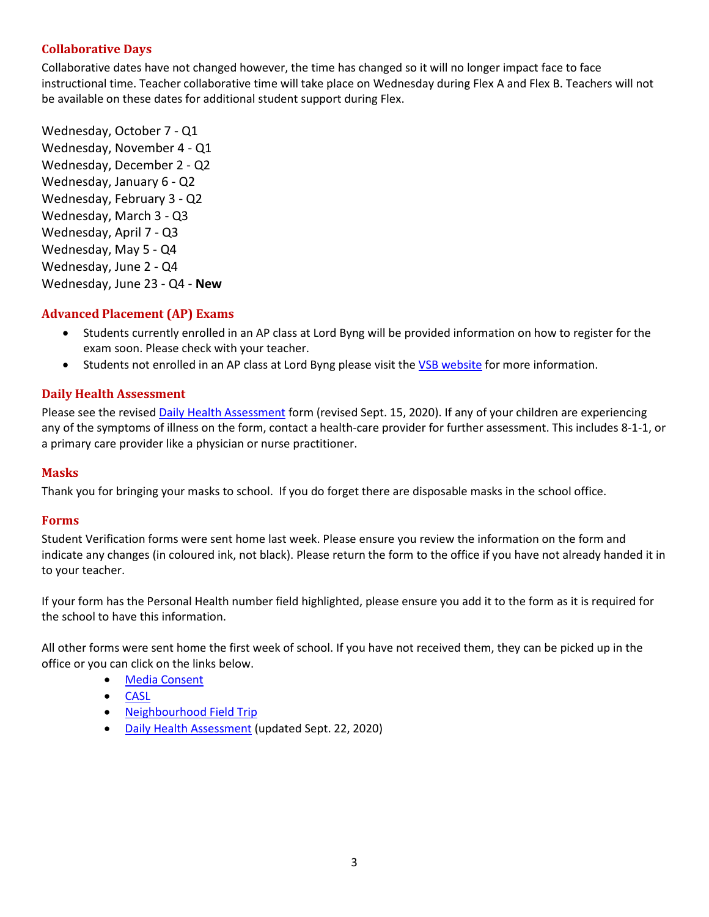# <span id="page-2-0"></span>**Collaborative Days**

Collaborative dates have not changed however, the time has changed so it will no longer impact face to face instructional time. Teacher collaborative time will take place on Wednesday during Flex A and Flex B. Teachers will not be available on these dates for additional student support during Flex.

Wednesday, October 7 - Q1 Wednesday, November 4 - Q1 Wednesday, December 2 - Q2 Wednesday, January 6 - Q2 Wednesday, February 3 - Q2 Wednesday, March 3 - Q3 Wednesday, April 7 - Q3 Wednesday, May 5 - Q4 Wednesday, June 2 - Q4 Wednesday, June 23 - Q4 - **New**

# <span id="page-2-1"></span>**Advanced Placement (AP) Exams**

- Students currently enrolled in an AP class at Lord Byng will be provided information on how to register for the exam soon. Please check with your teacher.
- Students not enrolled in an AP class at Lord Byng please visit th[e VSB website](https://www.vsb.bc.ca/Student_Learning/Secondary/Advanced_Placement_Exams/Pages/Default.aspx) for more information.

# <span id="page-2-2"></span>**Daily Health Assessment**

Please see the revised [Daily Health Assessment](https://www.vsb.bc.ca/repository/SBAttachments/8e11130a-23bc-4157-9294-1c252018cc4d_DailyHealthAssessment-Student_Sept15003.pdf) form (revised Sept. 15, 2020). If any of your children are experiencing any of the symptoms of illness on the form, contact a health-care provider for further assessment. This includes 8-1-1, or a primary care provider like a physician or nurse practitioner.

## <span id="page-2-3"></span>**Masks**

<span id="page-2-4"></span>Thank you for bringing your masks to school. If you do forget there are disposable masks in the school office.

## **Forms**

Student Verification forms were sent home last week. Please ensure you review the information on the form and indicate any changes (in coloured ink, not black). Please return the form to the office if you have not already handed it in to your teacher.

If your form has the Personal Health number field highlighted, please ensure you add it to the form as it is required for the school to have this information.

All other forms were sent home the first week of school. If you have not received them, they can be picked up in the office or you can click on the links below.

- [Media Consent](https://www.vsb.bc.ca/repository/SBAttachments/8e11130a-23bc-4157-9294-1c252018cc4d_VSBPersonalInformationandMediaConsentForm2020-21.pdf)
- [CASL](https://www.vsb.bc.ca/repository/SBAttachments/8e11130a-23bc-4157-9294-1c252018cc4d_CASLVSBConsent2020-21.pdf)
- [Neighbourhood Field Trip](https://www.vsb.bc.ca/repository/SBAttachments/8e11130a-23bc-4157-9294-1c252018cc4d_NeighbourhoodFieldStudies-ParentGuardianConsentForm2020-21.pdf)
- [Daily Health Assessment](https://www.vsb.bc.ca/repository/SBAttachments/8e11130a-23bc-4157-9294-1c252018cc4d_DailyHealthAssessmentForm-Student_Sept22.pdf) (updated Sept. 22, 2020)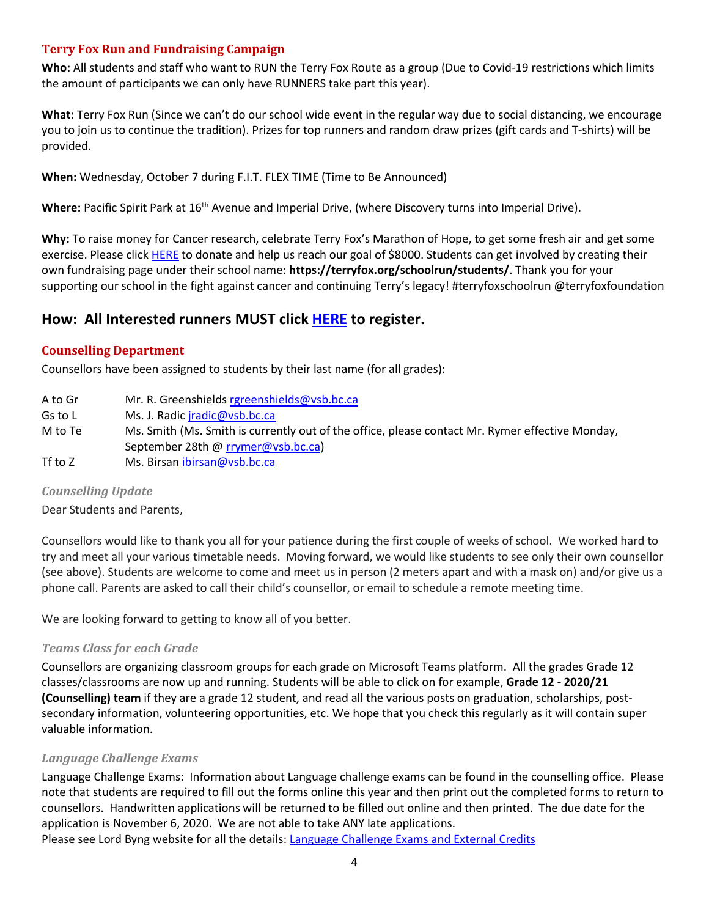# <span id="page-3-0"></span>**Terry Fox Run and Fundraising Campaign**

**Who:** All students and staff who want to RUN the Terry Fox Route as a group (Due to Covid-19 restrictions which limits the amount of participants we can only have RUNNERS take part this year).

**What:** Terry Fox Run (Since we can't do our school wide event in the regular way due to social distancing, we encourage you to join us to continue the tradition). Prizes for top runners and random draw prizes (gift cards and T-shirts) will be provided.

**When:** Wednesday, October 7 during F.I.T. FLEX TIME (Time to Be Announced)

Where: Pacific Spirit Park at 16<sup>th</sup> Avenue and Imperial Drive, (where Discovery turns into Imperial Drive).

**Why:** To raise money for Cancer research, celebrate Terry Fox's Marathon of Hope, to get some fresh air and get some exercise. Please click [HERE](https://secure.terryfox.ca/registrant/TeamFundraisingPage.aspx?TeamID=915903) to donate and help us reach our goal of \$8000. Students can get involved by creating their own fundraising page under their school name: **https://terryfox.org/schoolrun/students/**. Thank you for your supporting our school in the fight against cancer and continuing Terry's legacy! #terryfoxschoolrun @terryfoxfoundation

# **How: All Interested runners MUST click [HERE](https://forms.office.com/Pages/ResponsePage.aspx?id=WC6KCzB7CEq6t9dVWeDjpcU6_SJBxJFAvnYu4EP3zdBUMFhPMEdMNDFPSzg1QTVYVjQ5QjVIV1MzRy4u) to register.**

# <span id="page-3-1"></span>**Counselling Department**

Counsellors have been assigned to students by their last name (for all grades):

A to Gr Mr. R. Greenshield[s rgreenshields@vsb.bc.ca](mailto:rgreenshields@vsb.bc.ca) Gs to L Ms. J. Radic *jradic@vsb.bc.ca* M to Te Ms. Smith (Ms. Smith is currently out of the office, please contact Mr. Rymer effective Monday, September 28th @ [rrymer@vsb.bc.ca\)](mailto:rrymer@vsb.bc.ca) Tf to Z Ms. Birsan [ibirsan@vsb.bc.ca](mailto:ibirsan@vsb.bc.ca)

# <span id="page-3-2"></span>*Counselling Update*

Dear Students and Parents,

Counsellors would like to thank you all for your patience during the first couple of weeks of school. We worked hard to try and meet all your various timetable needs. Moving forward, we would like students to see only their own counsellor (see above). Students are welcome to come and meet us in person (2 meters apart and with a mask on) and/or give us a phone call. Parents are asked to call their child's counsellor, or email to schedule a remote meeting time.

<span id="page-3-3"></span>We are looking forward to getting to know all of you better.

# *Teams Class for each Grade*

Counsellors are organizing classroom groups for each grade on Microsoft Teams platform. All the grades Grade 12 classes/classrooms are now up and running. Students will be able to click on for example, **Grade 12 - 2020/21 (Counselling) team** if they are a grade 12 student, and read all the various posts on graduation, scholarships, postsecondary information, volunteering opportunities, etc. We hope that you check this regularly as it will contain super valuable information.

# <span id="page-3-4"></span>*Language Challenge Exams*

Language Challenge Exams: Information about Language challenge exams can be found in the counselling office. Please note that students are required to fill out the forms online this year and then print out the completed forms to return to counsellors. Handwritten applications will be returned to be filled out online and then printed. The due date for the application is November 6, 2020. We are not able to take ANY late applications.

Please see Lord Byng website for all the details: [Language Challenge Exams and External Credits](https://www.vsb.bc.ca/schools/lord-byng/Teaching-and-Learning/Classes-and-Departments/Counselling/Pages/Language-Challenge-Exams-and-External-Credits.aspx?rf=830e511d-a1a4-4faf-99d0-28b1736820df)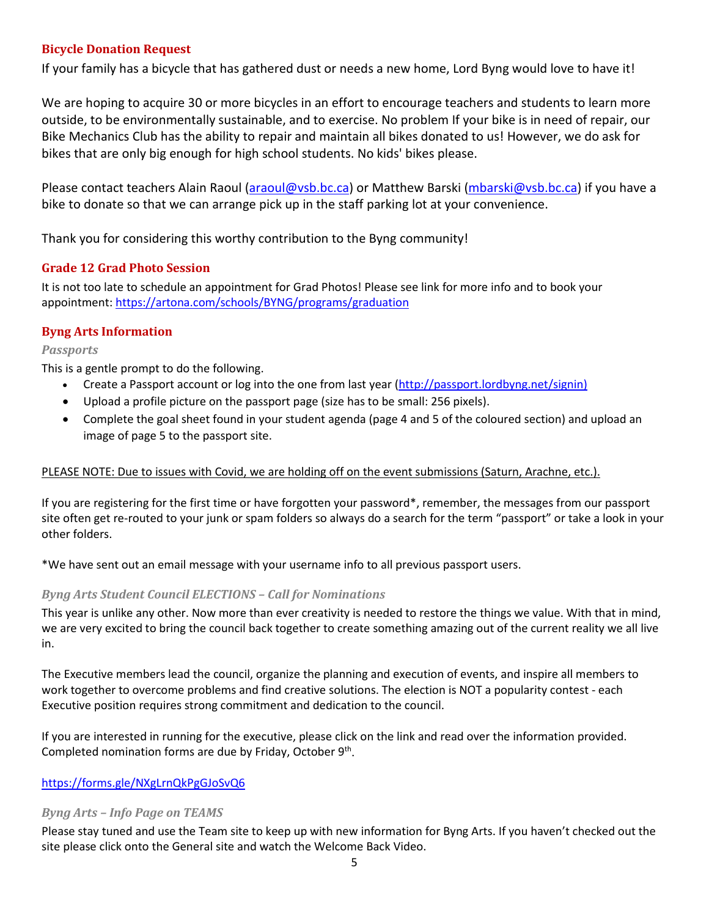# <span id="page-4-0"></span>**Bicycle Donation Request**

If your family has a bicycle that has gathered dust or needs a new home, Lord Byng would love to have it!

We are hoping to acquire 30 or more bicycles in an effort to encourage teachers and students to learn more outside, to be environmentally sustainable, and to exercise. No problem If your bike is in need of repair, our Bike Mechanics Club has the ability to repair and maintain all bikes donated to us! However, we do ask for bikes that are only big enough for high school students. No kids' bikes please.

Please contact teachers Alain Raoul [\(araoul@vsb.bc.ca\)](mailto:araoul@vsb.bc.ca) or Matthew Barski [\(mbarski@vsb.bc.ca\)](mailto:mbarski@vsb.bc.ca) if you have a bike to donate so that we can arrange pick up in the staff parking lot at your convenience.

<span id="page-4-1"></span>Thank you for considering this worthy contribution to the Byng community!

# **Grade 12 Grad Photo Session**

It is not too late to schedule an appointment for Grad Photos! Please see link for more info and to book your appointment:<https://artona.com/schools/BYNG/programs/graduation>

# <span id="page-4-2"></span>**Byng Arts Information**

## <span id="page-4-3"></span>*Passports*

This is a gentle prompt to do the following.

- Create a Passport account or log into the one from last year [\(http://passport.lordbyng.net/signin\)](http://passport.lordbyng.net/signin)
- Upload a profile picture on the passport page (size has to be small: 256 pixels).
- Complete the goal sheet found in your student agenda (page 4 and 5 of the coloured section) and upload an image of page 5 to the passport site.

## PLEASE NOTE: Due to issues with Covid, we are holding off on the event submissions (Saturn, Arachne, etc.).

If you are registering for the first time or have forgotten your password\*, remember, the messages from our passport site often get re-routed to your junk or spam folders so always do a search for the term "passport" or take a look in your other folders.

\*We have sent out an email message with your username info to all previous passport users.

## <span id="page-4-4"></span>*Byng Arts Student Council ELECTIONS – Call for Nominations*

This year is unlike any other. Now more than ever creativity is needed to restore the things we value. With that in mind, we are very excited to bring the council back together to create something amazing out of the current reality we all live in.

The Executive members lead the council, organize the planning and execution of events, and inspire all members to work together to overcome problems and find creative solutions. The election is NOT a popularity contest - each Executive position requires strong commitment and dedication to the council.

If you are interested in running for the executive, please click on the link and read over the information provided. Completed nomination forms are due by Friday, October 9<sup>th</sup>.

## <span id="page-4-5"></span><https://forms.gle/NXgLrnQkPgGJoSvQ6>

## *Byng Arts – Info Page on TEAMS*

Please stay tuned and use the Team site to keep up with new information for Byng Arts. If you haven't checked out the site please click onto the General site and watch the Welcome Back Video.